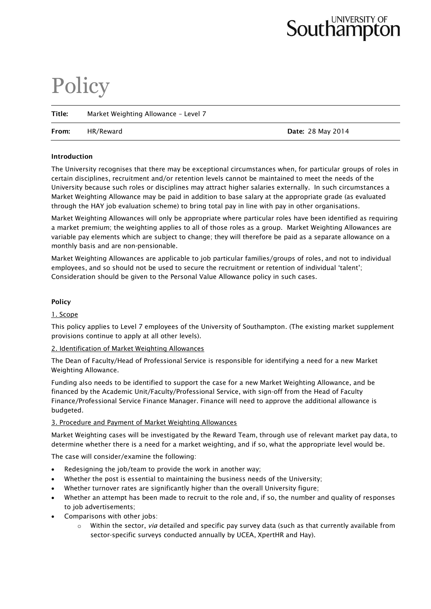# UNIVERSITY OF Southampton

# **Policy**

| Title: | Market Weighting Allowance - Level 7 |                          |  |  |
|--------|--------------------------------------|--------------------------|--|--|
| From:  | HR/Reward                            | <b>Date: 28 May 2014</b> |  |  |

#### **Introduction**

The University recognises that there may be exceptional circumstances when, for particular groups of roles in certain disciplines, recruitment and/or retention levels cannot be maintained to meet the needs of the University because such roles or disciplines may attract higher salaries externally. In such circumstances a Market Weighting Allowance may be paid in addition to base salary at the appropriate grade (as evaluated through the HAY job evaluation scheme) to bring total pay in line with pay in other organisations.

Market Weighting Allowances will only be appropriate where particular roles have been identified as requiring a market premium; the weighting applies to all of those roles as a group. Market Weighting Allowances are variable pay elements which are subject to change; they will therefore be paid as a separate allowance on a monthly basis and are non-pensionable.

Market Weighting Allowances are applicable to job particular families/groups of roles, and not to individual employees, and so should not be used to secure the recruitment or retention of individual 'talent'; Consideration should be given to the Personal Value Allowance policy in such cases.

## **Policy**

## 1. Scope

This policy applies to Level 7 employees of the University of Southampton. (The existing market supplement provisions continue to apply at all other levels).

#### 2. Identification of Market Weighting Allowances

The Dean of Faculty/Head of Professional Service is responsible for identifying a need for a new Market Weighting Allowance.

Funding also needs to be identified to support the case for a new Market Weighting Allowance, and be financed by the Academic Unit/Faculty/Professional Service, with sign-off from the Head of Faculty Finance/Professional Service Finance Manager. Finance will need to approve the additional allowance is budgeted.

#### 3. Procedure and Payment of Market Weighting Allowances

Market Weighting cases will be investigated by the Reward Team, through use of relevant market pay data, to determine whether there is a need for a market weighting, and if so, what the appropriate level would be.

The case will consider/examine the following:

- Redesigning the job/team to provide the work in another way;
- Whether the post is essential to maintaining the business needs of the University;
- Whether turnover rates are significantly higher than the overall University figure;
- Whether an attempt has been made to recruit to the role and, if so, the number and quality of responses to job advertisements;
- Comparisons with other jobs:
	- o Within the sector, *via* detailed and specific pay survey data (such as that currently available from sector-specific surveys conducted annually by UCEA, XpertHR and Hay).